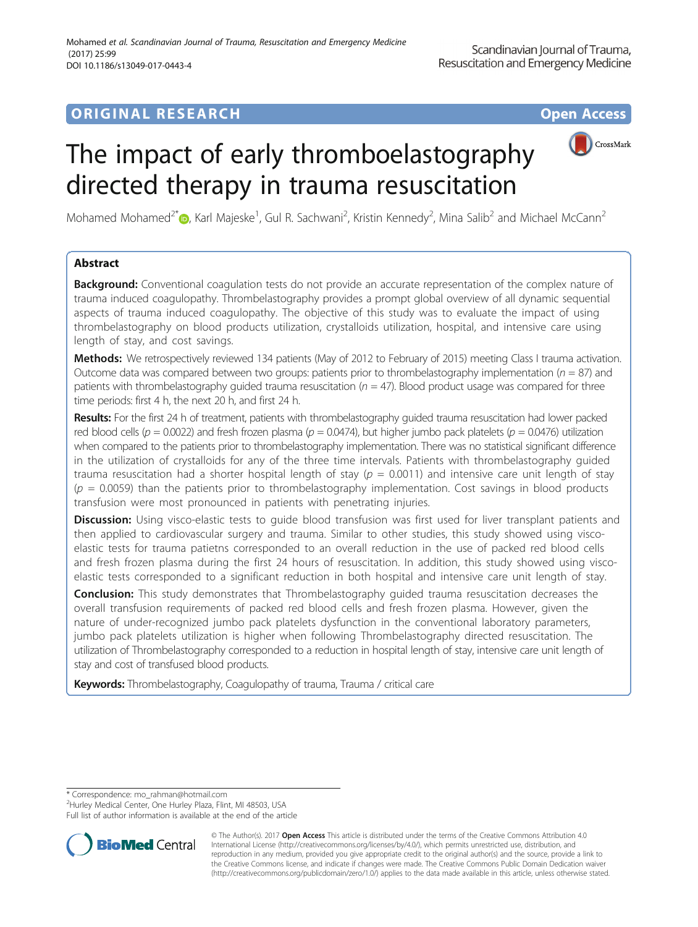## **ORIGINAL RESEARCH CONSUMING ACCESS**



# The impact of early thromboelastography directed therapy in trauma resuscitation

Mohamed Mohamed<sup>2\*</sup> (**b**, Karl Majeske<sup>1</sup>, Gul R. Sachwani<sup>2</sup>, Kristin Kennedy<sup>2</sup>, Mina Salib<sup>2</sup> and Michael McCann<sup>2</sup>

### Abstract

**Background:** Conventional coagulation tests do not provide an accurate representation of the complex nature of trauma induced coagulopathy. Thrombelastography provides a prompt global overview of all dynamic sequential aspects of trauma induced coagulopathy. The objective of this study was to evaluate the impact of using thrombelastography on blood products utilization, crystalloids utilization, hospital, and intensive care using length of stay, and cost savings.

Methods: We retrospectively reviewed 134 patients (May of 2012 to February of 2015) meeting Class I trauma activation. Outcome data was compared between two groups: patients prior to thrombelastography implementation ( $n = 87$ ) and patients with thrombelastography guided trauma resuscitation ( $n = 47$ ). Blood product usage was compared for three time periods: first 4 h, the next 20 h, and first 24 h.

Results: For the first 24 h of treatment, patients with thrombelastography guided trauma resuscitation had lower packed red blood cells (p = 0.0022) and fresh frozen plasma (p = 0.0474), but higher jumbo pack platelets (p = 0.0476) utilization when compared to the patients prior to thrombelastography implementation. There was no statistical significant difference in the utilization of crystalloids for any of the three time intervals. Patients with thrombelastography guided trauma resuscitation had a shorter hospital length of stay ( $p = 0.0011$ ) and intensive care unit length of stay  $(p = 0.0059)$  than the patients prior to thrombelastography implementation. Cost savings in blood products transfusion were most pronounced in patients with penetrating injuries.

Discussion: Using visco-elastic tests to quide blood transfusion was first used for liver transplant patients and then applied to cardiovascular surgery and trauma. Similar to other studies, this study showed using viscoelastic tests for trauma patietns corresponded to an overall reduction in the use of packed red blood cells and fresh frozen plasma during the first 24 hours of resuscitation. In addition, this study showed using viscoelastic tests corresponded to a significant reduction in both hospital and intensive care unit length of stay.

**Conclusion:** This study demonstrates that Thrombelastography guided trauma resuscitation decreases the overall transfusion requirements of packed red blood cells and fresh frozen plasma. However, given the nature of under-recognized jumbo pack platelets dysfunction in the conventional laboratory parameters, jumbo pack platelets utilization is higher when following Thrombelastography directed resuscitation. The utilization of Thrombelastography corresponded to a reduction in hospital length of stay, intensive care unit length of stay and cost of transfused blood products.

Keywords: Thrombelastography, Coagulopathy of trauma, Trauma / critical care

\* Correspondence: [mo\\_rahman@hotmail.com](mailto:mo_rahman@hotmail.com) <sup>2</sup>

<sup>2</sup>Hurley Medical Center, One Hurley Plaza, Flint, MI 48503, USA

Full list of author information is available at the end of the article



© The Author(s). 2017 **Open Access** This article is distributed under the terms of the Creative Commons Attribution 4.0 International License [\(http://creativecommons.org/licenses/by/4.0/](http://creativecommons.org/licenses/by/4.0/)), which permits unrestricted use, distribution, and reproduction in any medium, provided you give appropriate credit to the original author(s) and the source, provide a link to the Creative Commons license, and indicate if changes were made. The Creative Commons Public Domain Dedication waiver [\(http://creativecommons.org/publicdomain/zero/1.0/](http://creativecommons.org/publicdomain/zero/1.0/)) applies to the data made available in this article, unless otherwise stated.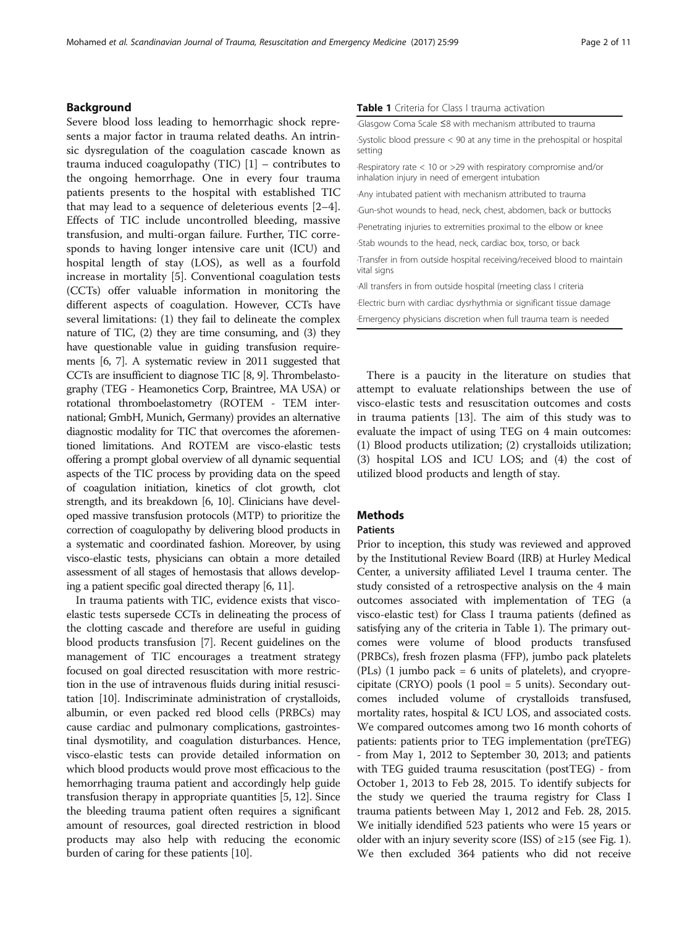### Background

Severe blood loss leading to hemorrhagic shock represents a major factor in trauma related deaths. An intrinsic dysregulation of the coagulation cascade known as trauma induced coagulopathy (TIC) [\[1\]](#page-9-0) – contributes to the ongoing hemorrhage. One in every four trauma patients presents to the hospital with established TIC that may lead to a sequence of deleterious events [\[2](#page-9-0)–[4](#page-9-0)]. Effects of TIC include uncontrolled bleeding, massive transfusion, and multi-organ failure. Further, TIC corresponds to having longer intensive care unit (ICU) and hospital length of stay (LOS), as well as a fourfold increase in mortality [\[5\]](#page-9-0). Conventional coagulation tests (CCTs) offer valuable information in monitoring the different aspects of coagulation. However, CCTs have several limitations: (1) they fail to delineate the complex nature of TIC, (2) they are time consuming, and (3) they have questionable value in guiding transfusion requirements [\[6, 7\]](#page-9-0). A systematic review in 2011 suggested that CCTs are insufficient to diagnose TIC [\[8, 9](#page-9-0)]. Thrombelastography (TEG - Heamonetics Corp, Braintree, MA USA) or rotational thromboelastometry (ROTEM - TEM international; GmbH, Munich, Germany) provides an alternative diagnostic modality for TIC that overcomes the aforementioned limitations. And ROTEM are visco-elastic tests offering a prompt global overview of all dynamic sequential aspects of the TIC process by providing data on the speed of coagulation initiation, kinetics of clot growth, clot strength, and its breakdown [\[6, 10\]](#page-9-0). Clinicians have developed massive transfusion protocols (MTP) to prioritize the correction of coagulopathy by delivering blood products in a systematic and coordinated fashion. Moreover, by using visco-elastic tests, physicians can obtain a more detailed assessment of all stages of hemostasis that allows developing a patient specific goal directed therapy [\[6, 11](#page-9-0)].

In trauma patients with TIC, evidence exists that viscoelastic tests supersede CCTs in delineating the process of the clotting cascade and therefore are useful in guiding blood products transfusion [\[7](#page-9-0)]. Recent guidelines on the management of TIC encourages a treatment strategy focused on goal directed resuscitation with more restriction in the use of intravenous fluids during initial resuscitation [\[10](#page-9-0)]. Indiscriminate administration of crystalloids, albumin, or even packed red blood cells (PRBCs) may cause cardiac and pulmonary complications, gastrointestinal dysmotility, and coagulation disturbances. Hence, visco-elastic tests can provide detailed information on which blood products would prove most efficacious to the hemorrhaging trauma patient and accordingly help guide transfusion therapy in appropriate quantities [[5, 12](#page-9-0)]. Since the bleeding trauma patient often requires a significant amount of resources, goal directed restriction in blood products may also help with reducing the economic burden of caring for these patients [\[10\]](#page-9-0).

#### Table 1 Criteria for Class I trauma activation

| Glasgow Coma Scale ≤8 with mechanism attributed to trauma                                                                |
|--------------------------------------------------------------------------------------------------------------------------|
| Systolic blood pressure $<$ 90 at any time in the prehospital or hospital<br>setting                                     |
| Respiratory rate $<$ 10 or $>$ 29 with respiratory compromise and/or<br>inhalation injury in need of emergent intubation |
| Any intubated patient with mechanism attributed to trauma                                                                |
| Gun-shot wounds to head, neck, chest, abdomen, back or buttocks                                                          |
| Penetrating injuries to extremities proximal to the elbow or knee                                                        |
| Stab wounds to the head, neck, cardiac box, torso, or back                                                               |
| Transfer in from outside hospital receiving/received blood to maintain<br>vital signs                                    |
| All transfers in from outside hospital (meeting class I criteria                                                         |
| Electric burn with cardiac dysrhythmia or significant tissue damage                                                      |
| Emergency physicians discretion when full trauma team is needed                                                          |

There is a paucity in the literature on studies that attempt to evaluate relationships between the use of visco-elastic tests and resuscitation outcomes and costs in trauma patients [\[13](#page-9-0)]. The aim of this study was to evaluate the impact of using TEG on 4 main outcomes: (1) Blood products utilization; (2) crystalloids utilization; (3) hospital LOS and ICU LOS; and (4) the cost of utilized blood products and length of stay.

#### Methods

### Patients

Prior to inception, this study was reviewed and approved by the Institutional Review Board (IRB) at Hurley Medical Center, a university affiliated Level I trauma center. The study consisted of a retrospective analysis on the 4 main outcomes associated with implementation of TEG (a visco-elastic test) for Class I trauma patients (defined as satisfying any of the criteria in Table 1). The primary outcomes were volume of blood products transfused (PRBCs), fresh frozen plasma (FFP), jumbo pack platelets (PLs) (1 jumbo pack = 6 units of platelets), and cryoprecipitate (CRYO) pools (1 pool = 5 units). Secondary outcomes included volume of crystalloids transfused, mortality rates, hospital & ICU LOS, and associated costs. We compared outcomes among two 16 month cohorts of patients: patients prior to TEG implementation (preTEG) - from May 1, 2012 to September 30, 2013; and patients with TEG guided trauma resuscitation (postTEG) - from October 1, 2013 to Feb 28, 2015. To identify subjects for the study we queried the trauma registry for Class I trauma patients between May 1, 2012 and Feb. 28, 2015. We initially idendified 523 patients who were 15 years or older with an injury severity score (ISS) of ≥15 (see Fig. [1](#page-2-0)). We then excluded 364 patients who did not receive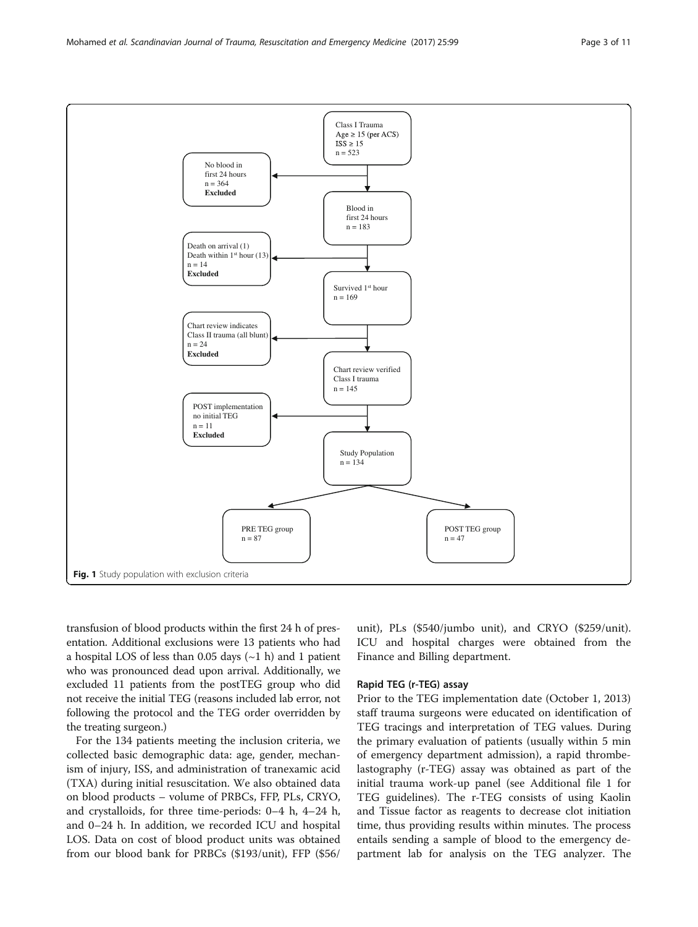<span id="page-2-0"></span>

transfusion of blood products within the first 24 h of presentation. Additional exclusions were 13 patients who had a hospital LOS of less than 0.05 days  $(\sim 1 \text{ h})$  and 1 patient who was pronounced dead upon arrival. Additionally, we excluded 11 patients from the postTEG group who did not receive the initial TEG (reasons included lab error, not following the protocol and the TEG order overridden by the treating surgeon.)

For the 134 patients meeting the inclusion criteria, we collected basic demographic data: age, gender, mechanism of injury, ISS, and administration of tranexamic acid (TXA) during initial resuscitation. We also obtained data on blood products – volume of PRBCs, FFP, PLs, CRYO, and crystalloids, for three time-periods: 0–4 h, 4–24 h, and 0–24 h. In addition, we recorded ICU and hospital LOS. Data on cost of blood product units was obtained from our blood bank for PRBCs (\$193/unit), FFP (\$56/

unit), PLs (\$540/jumbo unit), and CRYO (\$259/unit). ICU and hospital charges were obtained from the Finance and Billing department.

#### Rapid TEG (r-TEG) assay

Prior to the TEG implementation date (October 1, 2013) staff trauma surgeons were educated on identification of TEG tracings and interpretation of TEG values. During the primary evaluation of patients (usually within 5 min of emergency department admission), a rapid thrombelastography (r-TEG) assay was obtained as part of the initial trauma work-up panel (see Additional file [1](#page-8-0) for TEG guidelines). The r-TEG consists of using Kaolin and Tissue factor as reagents to decrease clot initiation time, thus providing results within minutes. The process entails sending a sample of blood to the emergency department lab for analysis on the TEG analyzer. The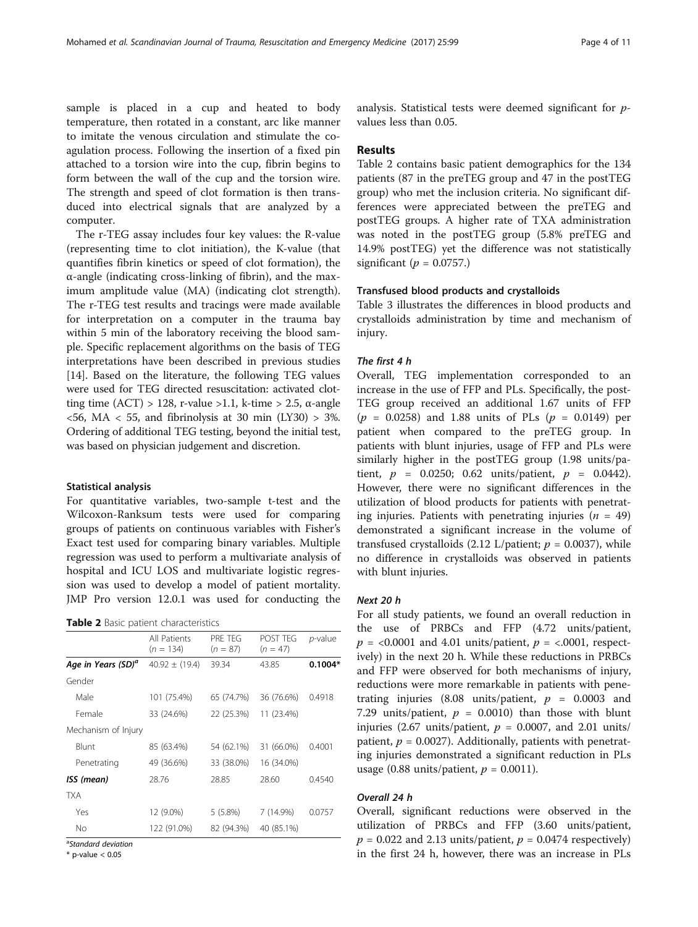sample is placed in a cup and heated to body temperature, then rotated in a constant, arc like manner to imitate the venous circulation and stimulate the coagulation process. Following the insertion of a fixed pin attached to a torsion wire into the cup, fibrin begins to form between the wall of the cup and the torsion wire. The strength and speed of clot formation is then transduced into electrical signals that are analyzed by a computer.

The r-TEG assay includes four key values: the R-value (representing time to clot initiation), the K-value (that quantifies fibrin kinetics or speed of clot formation), the α-angle (indicating cross-linking of fibrin), and the maximum amplitude value (MA) (indicating clot strength). The r-TEG test results and tracings were made available for interpretation on a computer in the trauma bay within 5 min of the laboratory receiving the blood sample. Specific replacement algorithms on the basis of TEG interpretations have been described in previous studies [[14\]](#page-9-0). Based on the literature, the following TEG values were used for TEG directed resuscitation: activated clotting time (ACT) > 128, r-value > 1.1, k-time > 2.5,  $\alpha$ -angle <56, MA < 55, and fibrinolysis at 30 min (LY30) > 3%. Ordering of additional TEG testing, beyond the initial test, was based on physician judgement and discretion.

#### Statistical analysis

For quantitative variables, two-sample t-test and the Wilcoxon-Ranksum tests were used for comparing groups of patients on continuous variables with Fisher's Exact test used for comparing binary variables. Multiple regression was used to perform a multivariate analysis of hospital and ICU LOS and multivariate logistic regression was used to develop a model of patient mortality. JMP Pro version 12.0.1 was used for conducting the

|  |  |  | Table 2 Basic patient characteristics |
|--|--|--|---------------------------------------|
|--|--|--|---------------------------------------|

|                                | All Patients<br>$(n = 134)$ | PRF TFG<br>$(n = 87)$ | <b>POST TEG</b><br>$(n = 47)$ | <i>p</i> -value |
|--------------------------------|-----------------------------|-----------------------|-------------------------------|-----------------|
| Age in Years (SD) <sup>a</sup> | $40.92 \pm (19.4)$          | 39.34                 | 43.85                         | $0.1004*$       |
| Gender                         |                             |                       |                               |                 |
| Male                           | 101 (75.4%)                 | 65 (74.7%)            | 36 (76.6%)                    | 0.4918          |
| Female                         | 33 (24.6%)                  | 22 (25.3%)            | 11 (23.4%)                    |                 |
| Mechanism of Injury            |                             |                       |                               |                 |
| Blunt                          | 85 (63.4%)                  | 54 (62.1%)            | 31 (66.0%)                    | 0.4001          |
| Penetrating                    | 49 (36.6%)                  | 33 (38.0%)            | 16 (34.0%)                    |                 |
| ISS (mean)                     | 28.76                       | 28.85                 | 28.60                         | 0.4540          |
| <b>TXA</b>                     |                             |                       |                               |                 |
| Yes                            | 12 (9.0%)                   | $5(5.8\%)$            | $7(14.9\%)$                   | 0.0757          |
| Νo                             | 122 (91.0%)                 | 82 (94.3%)            | 40 (85.1%)                    |                 |

<sup>a</sup>Standard deviation

 $*$  p-value  $< 0.05$ 

analysis. Statistical tests were deemed significant for pvalues less than 0.05.

#### Results

Table 2 contains basic patient demographics for the 134 patients (87 in the preTEG group and 47 in the postTEG group) who met the inclusion criteria. No significant differences were appreciated between the preTEG and postTEG groups. A higher rate of TXA administration was noted in the postTEG group (5.8% preTEG and 14.9% postTEG) yet the difference was not statistically significant ( $p = 0.0757$ .)

#### Transfused blood products and crystalloids

Table [3](#page-4-0) illustrates the differences in blood products and crystalloids administration by time and mechanism of injury.

#### The first 4 h

Overall, TEG implementation corresponded to an increase in the use of FFP and PLs. Specifically, the post-TEG group received an additional 1.67 units of FFP  $(p = 0.0258)$  and 1.88 units of PLs  $(p = 0.0149)$  per patient when compared to the preTEG group. In patients with blunt injuries, usage of FFP and PLs were similarly higher in the postTEG group (1.98 units/patient,  $p = 0.0250$ ; 0.62 units/patient,  $p = 0.0442$ ). However, there were no significant differences in the utilization of blood products for patients with penetrating injuries. Patients with penetrating injuries ( $n = 49$ ) demonstrated a significant increase in the volume of transfused crystalloids (2.12 L/patient;  $p = 0.0037$ ), while no difference in crystalloids was observed in patients with blunt injuries.

#### Next 20 h

For all study patients, we found an overall reduction in the use of PRBCs and FFP (4.72 units/patient,  $p = <0.0001$  and 4.01 units/patient,  $p = <0.0001$ , respectively) in the next 20 h. While these reductions in PRBCs and FFP were observed for both mechanisms of injury, reductions were more remarkable in patients with penetrating injuries (8.08 units/patient,  $p = 0.0003$  and 7.29 units/patient,  $p = 0.0010$  than those with blunt injuries (2.67 units/patient,  $p = 0.0007$ , and 2.01 units/ patient,  $p = 0.0027$ ). Additionally, patients with penetrating injuries demonstrated a significant reduction in PLs usage (0.88 units/patient,  $p = 0.0011$ ).

Overall, significant reductions were observed in the utilization of PRBCs and FFP (3.60 units/patient,  $p = 0.022$  and 2.13 units/patient,  $p = 0.0474$  respectively) in the first 24 h, however, there was an increase in PLs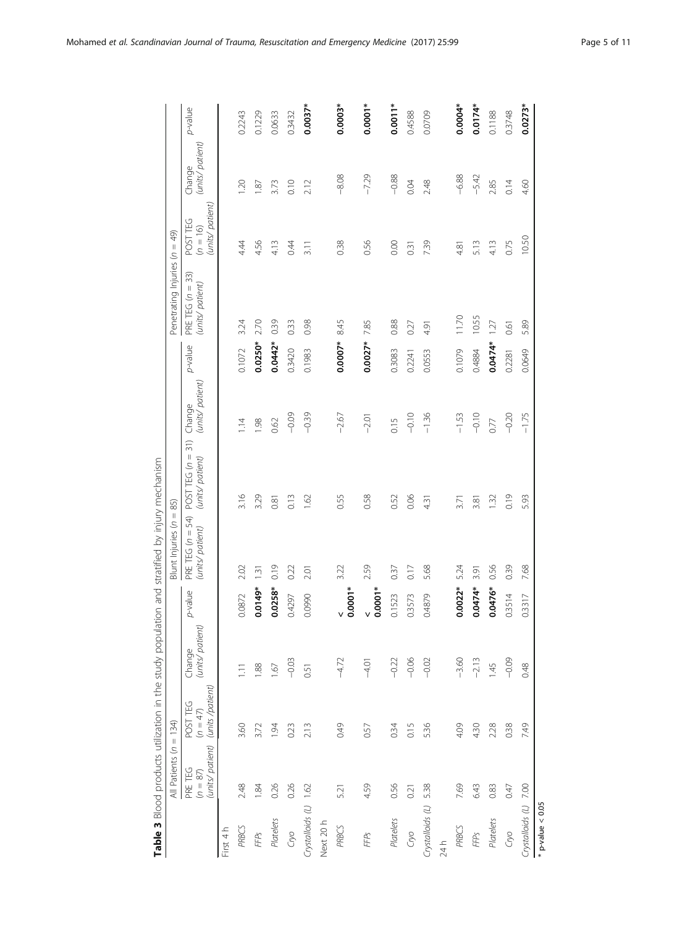<span id="page-4-0"></span>

|                       | All Patients (n = 134) |                                                           |                           |                | Blunt Injuries ( $n = 85$ )           |                                                      |                           |           | Penetrating Injuries ( $n = 49$ )       |                                           |                           |           |
|-----------------------|------------------------|-----------------------------------------------------------|---------------------------|----------------|---------------------------------------|------------------------------------------------------|---------------------------|-----------|-----------------------------------------|-------------------------------------------|---------------------------|-----------|
|                       | PRE TEG<br>$(n=87)$    | (units/patient) (units/patient)<br>POST TEG<br>$(n = 47)$ | (units/patient)<br>Change | p-value        | PRE TEG $(n = 54)$<br>(units/patient) | $\frac{31}{2}$<br>POST TEG $(n =$<br>(units/patient) | (units/patient)<br>Change | p-value   | PRE TEG ( $n = 33$ )<br>(units/patient) | (units/patient)<br>POST TEG<br>$(n = 16)$ | (units/patient)<br>Change | p-value   |
| First 4 h             |                        |                                                           |                           |                |                                       |                                                      |                           |           |                                         |                                           |                           |           |
| PRBCS                 | 2.48                   | 3.60                                                      | $\overline{1.11}$         | 0.0872         | 2.02                                  | 3.16                                                 | $\frac{4}{11}$            | 0.1072    | 3.24                                    | 4.44                                      | 1.20                      | 0.2243    |
| FFP <sub>S</sub>      | 1.84                   | 3.72                                                      | 1.88                      | 0.0149*        | 1.31                                  | 3.29                                                 | 98                        | $0.0250*$ | 2.70                                    | 4.56                                      | 1.87                      | 0.1229    |
| Platelets             | 0.26                   | 1.94                                                      | 1.67                      | $0.0258*$      | 0.19                                  | 0.81                                                 | 0.62                      | $0.0442*$ | 0.39                                    | 4.13                                      | 3.73                      | 0.0633    |
| Cryo                  | 0.26                   | 0.23                                                      | $-0.03$                   | 0.4297         | 0.22                                  | 0.13                                                 | $-0.09$                   | 0.3420    | 0.33                                    | 0.44                                      | 0.10                      | 0.3432    |
| Crystalloids (L)      | 1.62                   | 2.13                                                      | 0.51                      | 0.0990         | 2.01                                  | 1.62                                                 | $-0.39$                   | 0.1983    | 0.98                                    | 3.11                                      | 2.12                      | $0.0037*$ |
| Next 20 h             |                        |                                                           |                           |                |                                       |                                                      |                           |           |                                         |                                           |                           |           |
| PRBCS                 | 5.21                   | 0.49                                                      | $-4.72$                   | $0.0001*$<br>V | 3.22                                  | 0.55                                                 | $-2.67$                   | $0.0007*$ | 8.45                                    | 0.38                                      | $-8.08$                   | $0.0003*$ |
| FFP <sub>S</sub>      | 4.59                   | 0.57                                                      | $-4.01$                   | $0.0001*$<br>V | 2.59                                  | 0.58                                                 | $-2.01$                   | $0.0027*$ | 7.85                                    | 0.56                                      | $-7.29$                   | $0.0001*$ |
| Platelets             | 0.56                   | 0.34                                                      | $-0.22$                   | 0.1523         | 0.37                                  | 0.52                                                 | 0.15                      | 0.3083    | 0.88                                    | 0.00                                      | $-0.88$                   | $0.0011*$ |
| Cryo                  | 0.21                   | 0.15                                                      | $-0.06$                   | 0.3573         | 0.17                                  | 0.06                                                 | $-0.10$                   | 0.2241    | 0.27                                    | 0.31                                      | 0.04                      | 0.4588    |
| Crystalloids (L)      | 5.38                   | 5.36                                                      | $-0.02$                   | 0.4879         | 5.68                                  | 4.31                                                 | $-1.36$                   | 0.0553    | 4.91                                    | 7.39                                      | 2.48                      | 0.0709    |
| 24 h                  |                        |                                                           |                           |                |                                       |                                                      |                           |           |                                         |                                           |                           |           |
| PRBCS                 | 7.69                   | 4.09                                                      | $-3.60$                   | 0.0022*        | 5.24                                  | 3.71                                                 | $-1.53$                   | 0.1079    | 11.70                                   | 4.81                                      | $-6.88$                   | $0.0004*$ |
| FFP <sub>S</sub>      | 6.43                   | 4.30                                                      | $-2.13$                   | $0.0474*$      | 3.91                                  | 3.81                                                 | $-0.10$                   | 0.4884    | 10.55                                   | 5.13                                      | $-5.42$                   | $0.0174*$ |
| Platelets             | 0.83                   | 2.28                                                      | 1.45                      | 0.0476*        | 0.56                                  | 1.32                                                 | 0.77                      | $0.0474*$ | 1.27                                    | 4.13                                      | 2.85                      | 0.1188    |
| Cryo                  | 0.47                   | 0.38                                                      | $-0.09$                   | 0.3514         | 0.39                                  | 0.19                                                 | $-0.20$                   | 0.2281    | 0.61                                    | 0.75                                      | 0.14                      | 0.3748    |
| Crystalloids (L) 7.00 |                        | 7.49                                                      | 0.48                      | 0.3317         | 7.68                                  | 5.93                                                 | $-1.75$                   | 0.0649    | 5.89                                    | 10.50                                     | 4.60                      | $0.0273*$ |
| $*$ p-value $< 0.05$  |                        |                                                           |                           |                |                                       |                                                      |                           |           |                                         |                                           |                           |           |

Table 3 Blood products utilization in the study population and stratified by injury mechanism Table 3 Blood products utilization in the study population and stratified by injury mechanism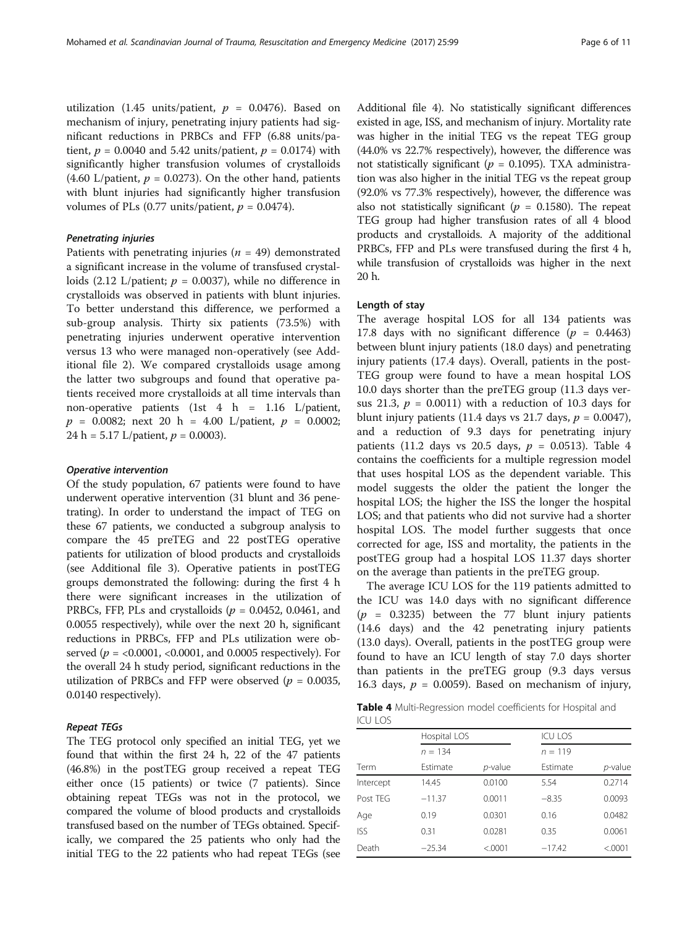<span id="page-5-0"></span>utilization (1.45 units/patient,  $p = 0.0476$ ). Based on mechanism of injury, penetrating injury patients had significant reductions in PRBCs and FFP (6.88 units/patient,  $p = 0.0040$  and 5.42 units/patient,  $p = 0.0174$ ) with significantly higher transfusion volumes of crystalloids (4.60 L/patient,  $p = 0.0273$ ). On the other hand, patients with blunt injuries had significantly higher transfusion volumes of PLs (0.77 units/patient,  $p = 0.0474$ ).

Patients with penetrating injuries ( $n = 49$ ) demonstrated a significant increase in the volume of transfused crystalloids (2.12 L/patient;  $p = 0.0037$ ), while no difference in crystalloids was observed in patients with blunt injuries. To better understand this difference, we performed a sub-group analysis. Thirty six patients (73.5%) with penetrating injuries underwent operative intervention versus 13 who were managed non-operatively (see Additional file [2\)](#page-8-0). We compared crystalloids usage among the latter two subgroups and found that operative patients received more crystalloids at all time intervals than non-operative patients (1st 4 h = 1.16 L/patient,  $p = 0.0082$ ; next 20 h = 4.00 L/patient,  $p = 0.0002$ ; 24 h = 5.17 L/patient,  $p = 0.0003$ ).

Of the study population, 67 patients were found to have underwent operative intervention (31 blunt and 36 penetrating). In order to understand the impact of TEG on these 67 patients, we conducted a subgroup analysis to compare the 45 preTEG and 22 postTEG operative patients for utilization of blood products and crystalloids (see Additional file [3](#page-8-0)). Operative patients in postTEG groups demonstrated the following: during the first 4 h there were significant increases in the utilization of PRBCs, FFP, PLs and crystalloids ( $p = 0.0452$ , 0.0461, and 0.0055 respectively), while over the next 20 h, significant reductions in PRBCs, FFP and PLs utilization were observed ( $p = <0.0001, <0.0001$ , and 0.0005 respectively). For the overall 24 h study period, significant reductions in the utilization of PRBCs and FFP were observed ( $p = 0.0035$ , 0.0140 respectively).

The TEG protocol only specified an initial TEG, yet we found that within the first 24 h, 22 of the 47 patients (46.8%) in the postTEG group received a repeat TEG either once (15 patients) or twice (7 patients). Since obtaining repeat TEGs was not in the protocol, we compared the volume of blood products and crystalloids transfused based on the number of TEGs obtained. Specifically, we compared the 25 patients who only had the initial TEG to the 22 patients who had repeat TEGs (see

Additional file [4\)](#page-8-0). No statistically significant differences existed in age, ISS, and mechanism of injury. Mortality rate was higher in the initial TEG vs the repeat TEG group (44.0% vs 22.7% respectively), however, the difference was not statistically significant ( $p = 0.1095$ ). TXA administration was also higher in the initial TEG vs the repeat group (92.0% vs 77.3% respectively), however, the difference was also not statistically significant ( $p = 0.1580$ ). The repeat TEG group had higher transfusion rates of all 4 blood products and crystalloids. A majority of the additional PRBCs, FFP and PLs were transfused during the first 4 h, while transfusion of crystalloids was higher in the next 20 h.

#### Length of stay

The average hospital LOS for all 134 patients was 17.8 days with no significant difference ( $p = 0.4463$ ) between blunt injury patients (18.0 days) and penetrating injury patients (17.4 days). Overall, patients in the post-TEG group were found to have a mean hospital LOS 10.0 days shorter than the preTEG group (11.3 days versus 21.3,  $p = 0.0011$ ) with a reduction of 10.3 days for blunt injury patients (11.4 days vs 21.7 days,  $p = 0.0047$ ), and a reduction of 9.3 days for penetrating injury patients (11.2 days vs 20.5 days,  $p = 0.0513$ ). Table 4 contains the coefficients for a multiple regression model that uses hospital LOS as the dependent variable. This model suggests the older the patient the longer the hospital LOS; the higher the ISS the longer the hospital LOS; and that patients who did not survive had a shorter hospital LOS. The model further suggests that once corrected for age, ISS and mortality, the patients in the postTEG group had a hospital LOS 11.37 days shorter on the average than patients in the preTEG group.

The average ICU LOS for the 119 patients admitted to the ICU was 14.0 days with no significant difference  $(p = 0.3235)$  between the 77 blunt injury patients (14.6 days) and the 42 penetrating injury patients (13.0 days). Overall, patients in the postTEG group were found to have an ICU length of stay 7.0 days shorter than patients in the preTEG group (9.3 days versus 16.3 days,  $p = 0.0059$ . Based on mechanism of injury,

Table 4 Multi-Regression model coefficients for Hospital and ICU LOS

|            |                 | Hospital LOS |           | <b>ICU LOS</b> |  |
|------------|-----------------|--------------|-----------|----------------|--|
|            | $n = 134$       |              | $n = 119$ |                |  |
| Term       | <b>Fstimate</b> | p-value      | Estimate  | p-value        |  |
| Intercept  | 14.45           | 0.0100       | 5.54      | 0.2714         |  |
| Post TFG   | $-11.37$        | 0.0011       | $-8.35$   | 0.0093         |  |
| Age        | 0.19            | 0.0301       | 0.16      | 0.0482         |  |
| <b>ISS</b> | 0.31            | 0.0281       | 0.35      | 0.0061         |  |
| Death      | $-25.34$        | < .0001      | $-17.42$  | < 0.0001       |  |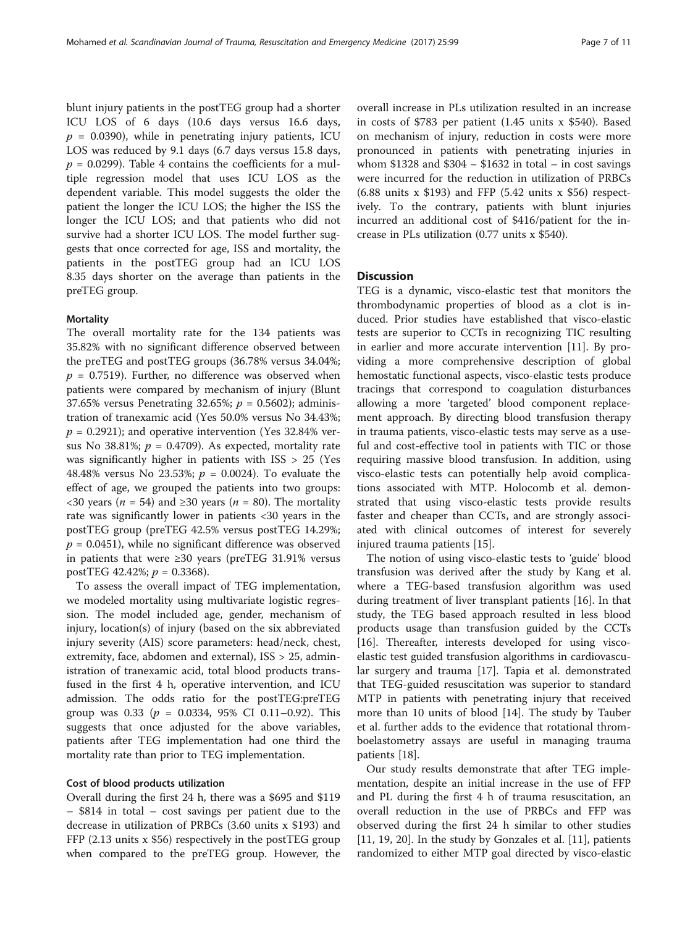blunt injury patients in the postTEG group had a shorter ICU LOS of 6 days (10.6 days versus 16.6 days,  $p = 0.0390$ , while in penetrating injury patients, ICU LOS was reduced by 9.1 days (6.7 days versus 15.8 days,  $p = 0.0299$ ). Table [4](#page-5-0) contains the coefficients for a multiple regression model that uses ICU LOS as the dependent variable. This model suggests the older the patient the longer the ICU LOS; the higher the ISS the longer the ICU LOS; and that patients who did not survive had a shorter ICU LOS. The model further suggests that once corrected for age, ISS and mortality, the patients in the postTEG group had an ICU LOS 8.35 days shorter on the average than patients in the preTEG group.

#### **Mortality**

The overall mortality rate for the 134 patients was 35.82% with no significant difference observed between the preTEG and postTEG groups (36.78% versus 34.04%;  $p = 0.7519$ ). Further, no difference was observed when patients were compared by mechanism of injury (Blunt 37.65% versus Penetrating 32.65%;  $p = 0.5602$ ); administration of tranexamic acid (Yes 50.0% versus No 34.43%;  $p = 0.2921$ ; and operative intervention (Yes 32.84% versus No 38.81%;  $p = 0.4709$ ). As expected, mortality rate was significantly higher in patients with ISS > 25 (Yes 48.48% versus No 23.53%;  $p = 0.0024$ ). To evaluate the effect of age, we grouped the patients into two groups:  $\langle$  <30 years (*n* = 54) and  $\geq$  30 years (*n* = 80). The mortality rate was significantly lower in patients <30 years in the postTEG group (preTEG 42.5% versus postTEG 14.29%;  $p = 0.0451$ , while no significant difference was observed in patients that were ≥30 years (preTEG 31.91% versus postTEG 42.42%;  $p = 0.3368$ ).

To assess the overall impact of TEG implementation, we modeled mortality using multivariate logistic regression. The model included age, gender, mechanism of injury, location(s) of injury (based on the six abbreviated injury severity (AIS) score parameters: head/neck, chest, extremity, face, abdomen and external), ISS > 25, administration of tranexamic acid, total blood products transfused in the first 4 h, operative intervention, and ICU admission. The odds ratio for the postTEG:preTEG group was 0.33 ( $p = 0.0334$ , 95% CI 0.11–0.92). This suggests that once adjusted for the above variables, patients after TEG implementation had one third the mortality rate than prior to TEG implementation.

#### Cost of blood products utilization

Overall during the first 24 h, there was a \$695 and \$119 – \$814 in total – cost savings per patient due to the decrease in utilization of PRBCs (3.60 units x \$193) and FFP (2.13 units x \$56) respectively in the postTEG group when compared to the preTEG group. However, the

overall increase in PLs utilization resulted in an increase in costs of \$783 per patient (1.45 units x \$540). Based on mechanism of injury, reduction in costs were more pronounced in patients with penetrating injuries in whom  $$1328$  and  $$304 - $1632$  in total – in cost savings were incurred for the reduction in utilization of PRBCs (6.88 units x \$193) and FFP (5.42 units x \$56) respectively. To the contrary, patients with blunt injuries incurred an additional cost of \$416/patient for the increase in PLs utilization (0.77 units x \$540).

#### **Discussion**

TEG is a dynamic, visco-elastic test that monitors the thrombodynamic properties of blood as a clot is induced. Prior studies have established that visco-elastic tests are superior to CCTs in recognizing TIC resulting in earlier and more accurate intervention [\[11](#page-9-0)]. By providing a more comprehensive description of global hemostatic functional aspects, visco-elastic tests produce tracings that correspond to coagulation disturbances allowing a more 'targeted' blood component replacement approach. By directing blood transfusion therapy in trauma patients, visco-elastic tests may serve as a useful and cost-effective tool in patients with TIC or those requiring massive blood transfusion. In addition, using visco-elastic tests can potentially help avoid complications associated with MTP. Holocomb et al. demonstrated that using visco-elastic tests provide results faster and cheaper than CCTs, and are strongly associated with clinical outcomes of interest for severely injured trauma patients [\[15\]](#page-9-0).

The notion of using visco-elastic tests to 'guide' blood transfusion was derived after the study by Kang et al. where a TEG-based transfusion algorithm was used during treatment of liver transplant patients [\[16](#page-9-0)]. In that study, the TEG based approach resulted in less blood products usage than transfusion guided by the CCTs [[16\]](#page-9-0). Thereafter, interests developed for using viscoelastic test guided transfusion algorithms in cardiovascular surgery and trauma [[17](#page-9-0)]. Tapia et al. demonstrated that TEG-guided resuscitation was superior to standard MTP in patients with penetrating injury that received more than 10 units of blood [\[14\]](#page-9-0). The study by Tauber et al. further adds to the evidence that rotational thromboelastometry assays are useful in managing trauma patients [\[18\]](#page-9-0).

Our study results demonstrate that after TEG implementation, despite an initial increase in the use of FFP and PL during the first 4 h of trauma resuscitation, an overall reduction in the use of PRBCs and FFP was observed during the first 24 h similar to other studies [[11, 19, 20\]](#page-9-0). In the study by Gonzales et al. [\[11\]](#page-9-0), patients randomized to either MTP goal directed by visco-elastic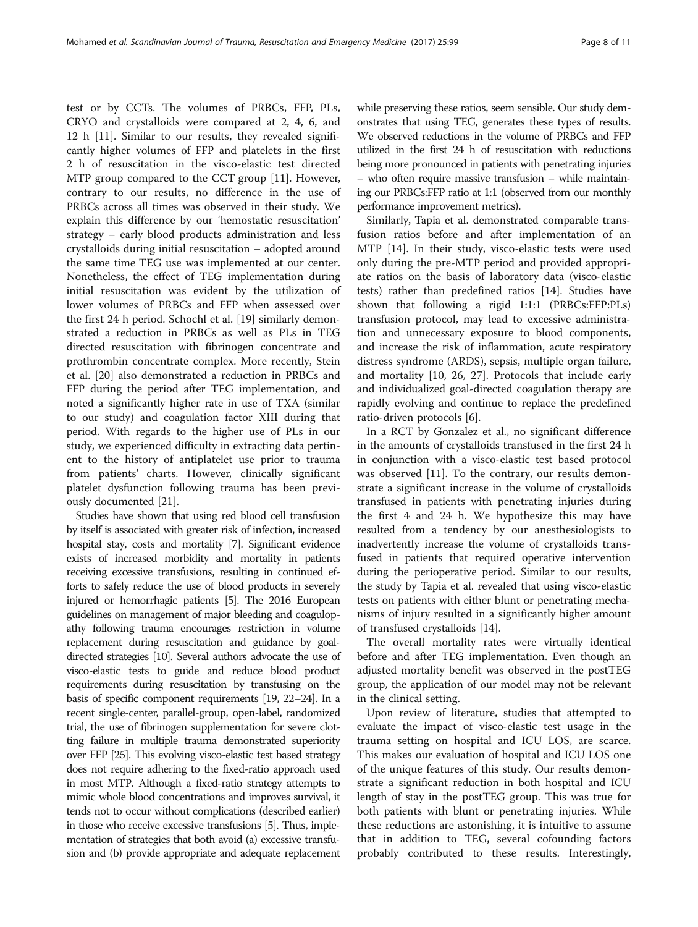test or by CCTs. The volumes of PRBCs, FFP, PLs, CRYO and crystalloids were compared at 2, 4, 6, and 12 h [\[11\]](#page-9-0). Similar to our results, they revealed significantly higher volumes of FFP and platelets in the first 2 h of resuscitation in the visco-elastic test directed MTP group compared to the CCT group [[11\]](#page-9-0). However, contrary to our results, no difference in the use of PRBCs across all times was observed in their study. We explain this difference by our 'hemostatic resuscitation' strategy – early blood products administration and less crystalloids during initial resuscitation – adopted around the same time TEG use was implemented at our center. Nonetheless, the effect of TEG implementation during initial resuscitation was evident by the utilization of lower volumes of PRBCs and FFP when assessed over the first 24 h period. Schochl et al. [\[19\]](#page-9-0) similarly demonstrated a reduction in PRBCs as well as PLs in TEG directed resuscitation with fibrinogen concentrate and prothrombin concentrate complex. More recently, Stein et al. [\[20\]](#page-9-0) also demonstrated a reduction in PRBCs and FFP during the period after TEG implementation, and noted a significantly higher rate in use of TXA (similar to our study) and coagulation factor XIII during that period. With regards to the higher use of PLs in our study, we experienced difficulty in extracting data pertinent to the history of antiplatelet use prior to trauma from patients' charts. However, clinically significant platelet dysfunction following trauma has been previously documented [[21\]](#page-9-0).

Studies have shown that using red blood cell transfusion by itself is associated with greater risk of infection, increased hospital stay, costs and mortality [\[7\]](#page-9-0). Significant evidence exists of increased morbidity and mortality in patients receiving excessive transfusions, resulting in continued efforts to safely reduce the use of blood products in severely injured or hemorrhagic patients [[5](#page-9-0)]. The 2016 European guidelines on management of major bleeding and coagulopathy following trauma encourages restriction in volume replacement during resuscitation and guidance by goaldirected strategies [\[10\]](#page-9-0). Several authors advocate the use of visco-elastic tests to guide and reduce blood product requirements during resuscitation by transfusing on the basis of specific component requirements [\[19](#page-9-0), [22](#page-9-0)–[24](#page-9-0)]. In a recent single-center, parallel-group, open-label, randomized trial, the use of fibrinogen supplementation for severe clotting failure in multiple trauma demonstrated superiority over FFP [[25\]](#page-9-0). This evolving visco-elastic test based strategy does not require adhering to the fixed-ratio approach used in most MTP. Although a fixed-ratio strategy attempts to mimic whole blood concentrations and improves survival, it tends not to occur without complications (described earlier) in those who receive excessive transfusions [\[5](#page-9-0)]. Thus, implementation of strategies that both avoid (a) excessive transfusion and (b) provide appropriate and adequate replacement while preserving these ratios, seem sensible. Our study demonstrates that using TEG, generates these types of results. We observed reductions in the volume of PRBCs and FFP utilized in the first 24 h of resuscitation with reductions being more pronounced in patients with penetrating injuries – who often require massive transfusion – while maintaining our PRBCs:FFP ratio at 1:1 (observed from our monthly performance improvement metrics).

Similarly, Tapia et al. demonstrated comparable transfusion ratios before and after implementation of an MTP [[14\]](#page-9-0). In their study, visco-elastic tests were used only during the pre-MTP period and provided appropriate ratios on the basis of laboratory data (visco-elastic tests) rather than predefined ratios [[14\]](#page-9-0). Studies have shown that following a rigid 1:1:1 (PRBCs:FFP:PLs) transfusion protocol, may lead to excessive administration and unnecessary exposure to blood components, and increase the risk of inflammation, acute respiratory distress syndrome (ARDS), sepsis, multiple organ failure, and mortality [\[10, 26](#page-9-0), [27\]](#page-9-0). Protocols that include early and individualized goal-directed coagulation therapy are rapidly evolving and continue to replace the predefined ratio-driven protocols [\[6](#page-9-0)].

In a RCT by Gonzalez et al., no significant difference in the amounts of crystalloids transfused in the first 24 h in conjunction with a visco-elastic test based protocol was observed [\[11\]](#page-9-0). To the contrary, our results demonstrate a significant increase in the volume of crystalloids transfused in patients with penetrating injuries during the first 4 and 24 h. We hypothesize this may have resulted from a tendency by our anesthesiologists to inadvertently increase the volume of crystalloids transfused in patients that required operative intervention during the perioperative period. Similar to our results, the study by Tapia et al. revealed that using visco-elastic tests on patients with either blunt or penetrating mechanisms of injury resulted in a significantly higher amount of transfused crystalloids [\[14](#page-9-0)].

The overall mortality rates were virtually identical before and after TEG implementation. Even though an adjusted mortality benefit was observed in the postTEG group, the application of our model may not be relevant in the clinical setting.

Upon review of literature, studies that attempted to evaluate the impact of visco-elastic test usage in the trauma setting on hospital and ICU LOS, are scarce. This makes our evaluation of hospital and ICU LOS one of the unique features of this study. Our results demonstrate a significant reduction in both hospital and ICU length of stay in the postTEG group. This was true for both patients with blunt or penetrating injuries. While these reductions are astonishing, it is intuitive to assume that in addition to TEG, several cofounding factors probably contributed to these results. Interestingly,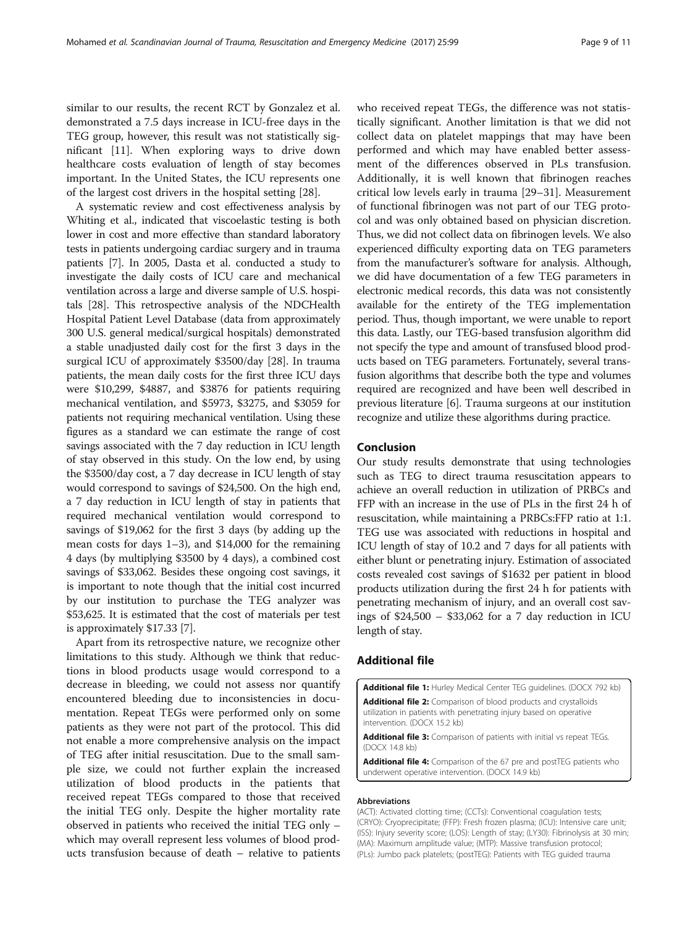<span id="page-8-0"></span>similar to our results, the recent RCT by Gonzalez et al. demonstrated a 7.5 days increase in ICU-free days in the TEG group, however, this result was not statistically significant [[11\]](#page-9-0). When exploring ways to drive down healthcare costs evaluation of length of stay becomes important. In the United States, the ICU represents one of the largest cost drivers in the hospital setting [\[28](#page-10-0)].

A systematic review and cost effectiveness analysis by Whiting et al., indicated that viscoelastic testing is both lower in cost and more effective than standard laboratory tests in patients undergoing cardiac surgery and in trauma patients [[7\]](#page-9-0). In 2005, Dasta et al. conducted a study to investigate the daily costs of ICU care and mechanical ventilation across a large and diverse sample of U.S. hospitals [\[28\]](#page-10-0). This retrospective analysis of the NDCHealth Hospital Patient Level Database (data from approximately 300 U.S. general medical/surgical hospitals) demonstrated a stable unadjusted daily cost for the first 3 days in the surgical ICU of approximately \$3500/day [\[28](#page-10-0)]. In trauma patients, the mean daily costs for the first three ICU days were \$10,299, \$4887, and \$3876 for patients requiring mechanical ventilation, and \$5973, \$3275, and \$3059 for patients not requiring mechanical ventilation. Using these figures as a standard we can estimate the range of cost savings associated with the 7 day reduction in ICU length of stay observed in this study. On the low end, by using the \$3500/day cost, a 7 day decrease in ICU length of stay would correspond to savings of \$24,500. On the high end, a 7 day reduction in ICU length of stay in patients that required mechanical ventilation would correspond to savings of \$19,062 for the first 3 days (by adding up the mean costs for days 1–3), and \$14,000 for the remaining 4 days (by multiplying \$3500 by 4 days), a combined cost savings of \$33,062. Besides these ongoing cost savings, it is important to note though that the initial cost incurred by our institution to purchase the TEG analyzer was \$53,625. It is estimated that the cost of materials per test is approximately \$17.33 [\[7\]](#page-9-0).

Apart from its retrospective nature, we recognize other limitations to this study. Although we think that reductions in blood products usage would correspond to a decrease in bleeding, we could not assess nor quantify encountered bleeding due to inconsistencies in documentation. Repeat TEGs were performed only on some patients as they were not part of the protocol. This did not enable a more comprehensive analysis on the impact of TEG after initial resuscitation. Due to the small sample size, we could not further explain the increased utilization of blood products in the patients that received repeat TEGs compared to those that received the initial TEG only. Despite the higher mortality rate observed in patients who received the initial TEG only – which may overall represent less volumes of blood products transfusion because of death – relative to patients who received repeat TEGs, the difference was not statistically significant. Another limitation is that we did not collect data on platelet mappings that may have been performed and which may have enabled better assessment of the differences observed in PLs transfusion. Additionally, it is well known that fibrinogen reaches critical low levels early in trauma [\[29](#page-10-0)–[31\]](#page-10-0). Measurement of functional fibrinogen was not part of our TEG protocol and was only obtained based on physician discretion. Thus, we did not collect data on fibrinogen levels. We also experienced difficulty exporting data on TEG parameters from the manufacturer's software for analysis. Although, we did have documentation of a few TEG parameters in electronic medical records, this data was not consistently available for the entirety of the TEG implementation period. Thus, though important, we were unable to report this data. Lastly, our TEG-based transfusion algorithm did not specify the type and amount of transfused blood products based on TEG parameters. Fortunately, several transfusion algorithms that describe both the type and volumes required are recognized and have been well described in previous literature [\[6\]](#page-9-0). Trauma surgeons at our institution recognize and utilize these algorithms during practice.

#### Conclusion

Our study results demonstrate that using technologies such as TEG to direct trauma resuscitation appears to achieve an overall reduction in utilization of PRBCs and FFP with an increase in the use of PLs in the first 24 h of resuscitation, while maintaining a PRBCs:FFP ratio at 1:1. TEG use was associated with reductions in hospital and ICU length of stay of 10.2 and 7 days for all patients with either blunt or penetrating injury. Estimation of associated costs revealed cost savings of \$1632 per patient in blood products utilization during the first 24 h for patients with penetrating mechanism of injury, and an overall cost savings of \$24,500 – \$33,062 for a 7 day reduction in ICU length of stay.

#### Additional file

[Additional file 1:](dx.doi.org/10.1186/s13049-017-0443-4) Hurley Medical Center TEG guidelines. (DOCX 792 kb) [Additional file 2:](dx.doi.org/10.1186/s13049-017-0443-4) Comparison of blood products and crystalloids utilization in patients with penetrating injury based on operative intervention. (DOCX 15.2 kb)

[Additional file 3:](dx.doi.org/10.1186/s13049-017-0443-4) Comparison of patients with initial vs repeat TEGs. (DOCX 14.8 kb)

[Additional file 4:](dx.doi.org/10.1186/s13049-017-0443-4) Comparison of the 67 pre and postTEG patients who underwent operative intervention. (DOCX 14.9 kb)

#### Abbreviations

(ACT): Activated clotting time; (CCTs): Conventional coagulation tests; (CRYO): Cryoprecipitate; (FFP): Fresh frozen plasma; (ICU): Intensive care unit; (ISS): Injury severity score; (LOS): Length of stay; (LY30): Fibrinolysis at 30 min; (MA): Maximum amplitude value; (MTP): Massive transfusion protocol; (PLs): Jumbo pack platelets; (postTEG): Patients with TEG guided trauma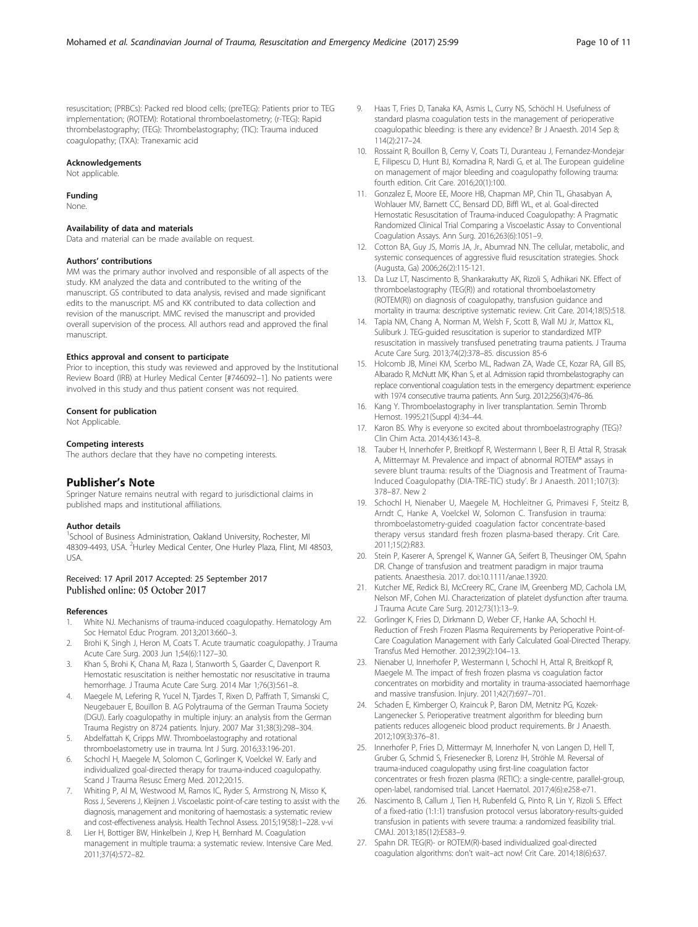<span id="page-9-0"></span>resuscitation; (PRBCs): Packed red blood cells; (preTEG): Patients prior to TEG implementation; (ROTEM): Rotational thromboelastometry; (r-TEG): Rapid thrombelastography; (TEG): Thrombelastography; (TIC): Trauma induced coagulopathy; (TXA): Tranexamic acid

#### Acknowledgements

Not applicable.

#### Funding

None.

#### Availability of data and materials

Data and material can be made available on request.

#### Authors' contributions

MM was the primary author involved and responsible of all aspects of the study. KM analyzed the data and contributed to the writing of the manuscript. GS contributed to data analysis, revised and made significant edits to the manuscript. MS and KK contributed to data collection and revision of the manuscript. MMC revised the manuscript and provided overall supervision of the process. All authors read and approved the final manuscript.

#### Ethics approval and consent to participate

Prior to inception, this study was reviewed and approved by the Institutional Review Board (IRB) at Hurley Medical Center [#746092–1]. No patients were involved in this study and thus patient consent was not required.

#### Consent for publication

Not Applicable.

#### Competing interests

The authors declare that they have no competing interests.

#### Publisher's Note

Springer Nature remains neutral with regard to jurisdictional claims in published maps and institutional affiliations.

#### Author details

<sup>1</sup>School of Business Administration, Oakland University, Rochester, MI 48309-4493, USA. <sup>2</sup>Hurley Medical Center, One Hurley Plaza, Flint, MI 48503, USA.

#### Received: 17 April 2017 Accepted: 25 September 2017 Published online: 05 October 2017

#### References

- 1. White NJ. Mechanisms of trauma-induced coagulopathy. Hematology Am Soc Hematol Educ Program. 2013;2013:660–3.
- 2. Brohi K, Singh J, Heron M, Coats T. Acute traumatic coagulopathy. J Trauma Acute Care Surg. 2003 Jun 1;54(6):1127–30.
- Khan S, Brohi K, Chana M, Raza I, Stanworth S, Gaarder C, Davenport R. Hemostatic resuscitation is neither hemostatic nor resuscitative in trauma hemorrhage. J Trauma Acute Care Surg. 2014 Mar 1;76(3):561–8.
- 4. Maegele M, Lefering R, Yucel N, Tjardes T, Rixen D, Paffrath T, Simanski C, Neugebauer E, Bouillon B. AG Polytrauma of the German Trauma Society (DGU). Early coagulopathy in multiple injury: an analysis from the German Trauma Registry on 8724 patients. Injury. 2007 Mar 31;38(3):298–304.
- 5. Abdelfattah K, Cripps MW. Thromboelastography and rotational thromboelastometry use in trauma. Int J Surg. 2016;33:196-201.
- Schochl H, Maegele M, Solomon C, Gorlinger K, Voelckel W. Early and individualized goal-directed therapy for trauma-induced coagulopathy. Scand J Trauma Resusc Emerg Med. 2012;20:15.
- 7. Whiting P, Al M, Westwood M, Ramos IC, Ryder S, Armstrong N, Misso K, Ross J, Severens J, Kleijnen J. Viscoelastic point-of-care testing to assist with the diagnosis, management and monitoring of haemostasis: a systematic review and cost-effectiveness analysis. Health Technol Assess. 2015;19(58):1–228. v-vi
- Lier H, Bottiger BW, Hinkelbein J, Krep H, Bernhard M. Coagulation management in multiple trauma: a systematic review. Intensive Care Med. 2011;37(4):572–82.
- 9. Haas T, Fries D, Tanaka KA, Asmis L, Curry NS, Schöchl H. Usefulness of standard plasma coagulation tests in the management of perioperative coagulopathic bleeding: is there any evidence? Br J Anaesth. 2014 Sep 8; 114(2):217–24.
- 10. Rossaint R, Bouillon B, Cerny V, Coats TJ, Duranteau J, Fernandez-Mondejar E, Filipescu D, Hunt BJ, Komadina R, Nardi G, et al. The European guideline on management of major bleeding and coagulopathy following trauma: fourth edition. Crit Care. 2016;20(1):100.
- 11. Gonzalez E, Moore EE, Moore HB, Chapman MP, Chin TL, Ghasabyan A, Wohlauer MV, Barnett CC, Bensard DD, Biffl WL, et al. Goal-directed Hemostatic Resuscitation of Trauma-induced Coagulopathy: A Pragmatic Randomized Clinical Trial Comparing a Viscoelastic Assay to Conventional Coagulation Assays. Ann Surg. 2016;263(6):1051–9.
- 12. Cotton BA, Guy JS, Morris JA, Jr., Abumrad NN. The cellular, metabolic, and systemic consequences of aggressive fluid resuscitation strategies. Shock (Augusta, Ga) 2006;26(2):115-121.
- 13. Da Luz LT, Nascimento B, Shankarakutty AK, Rizoli S, Adhikari NK. Effect of thromboelastography (TEG(R)) and rotational thromboelastometry (ROTEM(R)) on diagnosis of coagulopathy, transfusion guidance and mortality in trauma: descriptive systematic review. Crit Care. 2014;18(5):518.
- 14. Tapia NM, Chang A, Norman M, Welsh F, Scott B, Wall MJ Jr, Mattox KL, Suliburk J. TEG-guided resuscitation is superior to standardized MTP resuscitation in massively transfused penetrating trauma patients. J Trauma Acute Care Surg. 2013;74(2):378–85. discussion 85-6
- 15. Holcomb JB, Minei KM, Scerbo ML, Radwan ZA, Wade CE, Kozar RA, Gill BS, Albarado R, McNutt MK, Khan S, et al. Admission rapid thrombelastography can replace conventional coagulation tests in the emergency department: experience with 1974 consecutive trauma patients. Ann Surg. 2012;256(3):476–86.
- 16. Kang Y. Thromboelastography in liver transplantation. Semin Thromb Hemost. 1995;21(Suppl 4):34–44.
- 17. Karon BS. Why is everyone so excited about thromboelastrography (TEG)? Clin Chim Acta. 2014;436:143–8.
- 18. Tauber H, Innerhofer P, Breitkopf R, Westermann I, Beer R, El Attal R, Strasak A, Mittermayr M. Prevalence and impact of abnormal ROTEM® assays in severe blunt trauma: results of the 'Diagnosis and Treatment of Trauma-Induced Coagulopathy (DIA-TRE-TIC) study'. Br J Anaesth. 2011;107(3): 378–87. New 2
- 19. Schochl H, Nienaber U, Maegele M, Hochleitner G, Primavesi F, Steitz B, Arndt C, Hanke A, Voelckel W, Solomon C. Transfusion in trauma: thromboelastometry-guided coagulation factor concentrate-based therapy versus standard fresh frozen plasma-based therapy. Crit Care. 2011;15(2):R83.
- 20. Stein P, Kaserer A, Sprengel K, Wanner GA, Seifert B, Theusinger OM, Spahn DR. Change of transfusion and treatment paradigm in major trauma patients. Anaesthesia. 2017. doi[:10.1111/anae.13920.](http://dx.doi.org/10.1111/anae.13920)
- 21. Kutcher ME, Redick BJ, McCreery RC, Crane IM, Greenberg MD, Cachola LM, Nelson MF, Cohen MJ. Characterization of platelet dysfunction after trauma. J Trauma Acute Care Surg. 2012;73(1):13–9.
- 22. Gorlinger K, Fries D, Dirkmann D, Weber CF, Hanke AA, Schochl H. Reduction of Fresh Frozen Plasma Requirements by Perioperative Point-of-Care Coagulation Management with Early Calculated Goal-Directed Therapy. Transfus Med Hemother. 2012;39(2):104–13.
- 23. Nienaber U, Innerhofer P, Westermann I, Schochl H, Attal R, Breitkopf R, Maegele M. The impact of fresh frozen plasma vs coagulation factor concentrates on morbidity and mortality in trauma-associated haemorrhage and massive transfusion. Injury. 2011;42(7):697–701.
- 24. Schaden E, Kimberger O, Kraincuk P, Baron DM, Metnitz PG, Kozek-Langenecker S. Perioperative treatment algorithm for bleeding burn patients reduces allogeneic blood product requirements. Br J Anaesth. 2012;109(3):376–81.
- 25. Innerhofer P, Fries D, Mittermayr M, Innerhofer N, von Langen D, Hell T, Gruber G, Schmid S, Friesenecker B, Lorenz IH, Ströhle M. Reversal of trauma-induced coagulopathy using first-line coagulation factor concentrates or fresh frozen plasma (RETIC): a single-centre, parallel-group, open-label, randomised trial. Lancet Haematol. 2017;4(6):e258-e71.
- 26. Nascimento B, Callum J, Tien H, Rubenfeld G, Pinto R, Lin Y, Rizoli S. Effect of a fixed-ratio (1:1:1) transfusion protocol versus laboratory-results-guided transfusion in patients with severe trauma: a randomized feasibility trial. CMAJ. 2013;185(12):E583–9.
- 27. Spahn DR. TEG(R)- or ROTEM(R)-based individualized goal-directed coagulation algorithms: don't wait–act now! Crit Care. 2014;18(6):637.